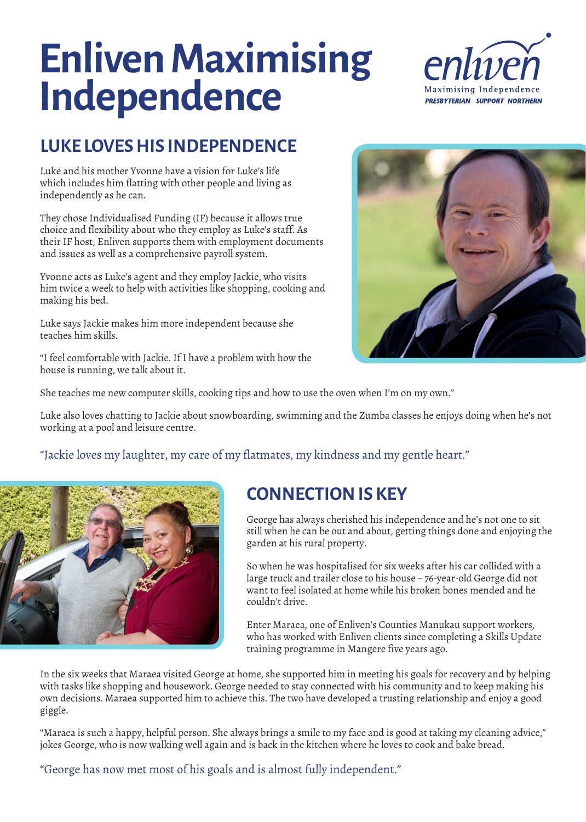# **Enliven Maximising Independence**



#### **LUKE LOVES HIS INDEPENDENCE**

Luke and his mother Yvonne have a vision for Luke's life which includes him flatting with other people and living as independently as he can.

They chose Individualised Funding (IF) because it allows true choice and flexibility about who they employ as Luke's staff. As their IF host, Enliven supports them with employment documents and issues as well as a comprehensive payroll system.

Yvonne acts as Luke's agent and they employ Jackie, who visits him twice a week to help with activities like shopping, cooking and making his bed.

Luke says Jackie makes him more independent because she teaches him skills.

"I feel comfortable with Jackie. If I have a problem with how the house is running, we talk about it.



She teaches me new computer skills, cooking tips and how to use the oven when I'm on my own."

Luke also loves chatting to Jackie about snowboarding, swimming and the Zumba classes he enjoys doing when he's not working at a pool and leisure centre.

"Jackie loves my laughter, my care of my flatmates, my kindness and my gentle heart."



#### **CONNECTION IS KEY**

George has always cherished his independence and he's not one to sit still when he can be out and about, getting things done and enjoying the garden at his rural property.

So when he was hospitalised for six weeks after his car collided with a large truck and trailer close to his house – 76-year-old George did not want to feel isolated at home while his broken bones mended and he couldn't drive.

Enter Maraea, one of Enliven's Counties Manukau support workers, who has worked with Enliven clients since completing a Skills Update training programme in Mangere five years ago.

In the six weeks that Maraea visited George at home, she supported him in meeting his goals for recovery and by helping with tasks like shopping and housework. George needed to stay connected with his community and to keep making his own decisions. Maraea supported him to achieve this. The two have developed a trusting relationship and enjoy a good giggle.

"Maraea is such a happy, helpful person. She always brings a smile to my face and is good at taking my cleaning advice," jokes George, who is now walking well again and is back in the kitchen where he loves to cook and bake bread.

"George has now met most of his goals and is almost fully independent."